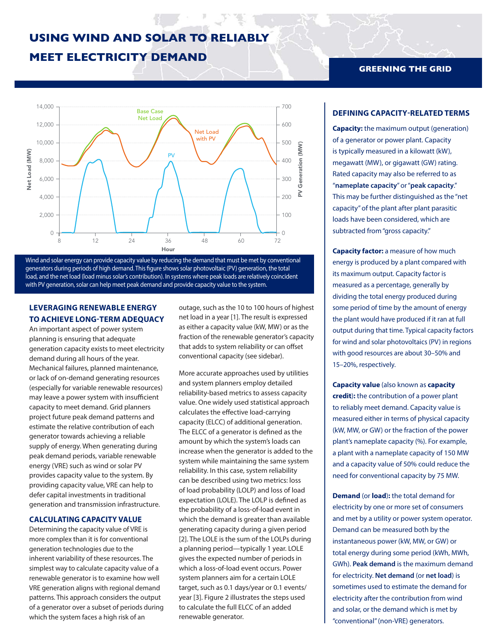# **USING WIND AND SOLAR TO RELIABLY**

## **MEET ELECTRICITY DEMAND**



Wind and solar energy can provide capacity value by reducing the demand that must be met by conventional generators during periods of high demand. This figure shows solar photovoltaic (PV) generation, the total load, and the net load (load minus solar's contribution). In systems where peak loads are relatively coincident with PV generation, solar can help meet peak demand and provide capacity value to the system.

## **LEVERAGING RENEWABLE ENERGY TO ACHIEVE LONG-TERM ADEQUACY**

An important aspect of power system planning is ensuring that adequate generation capacity exists to meet electricity demand during all hours of the year. Mechanical failures, planned maintenance, or lack of on-demand generating resources (especially for variable renewable resources) may leave a power system with insufficient capacity to meet demand. Grid planners project future peak demand patterns and estimate the relative contribution of each generator towards achieving a reliable supply of energy. When generating during peak demand periods, variable renewable energy (VRE) such as wind or solar PV provides capacity value to the system. By providing capacity value, VRE can help to defer capital investments in traditional generation and transmission infrastructure.

#### **CALCULATING CAPACITY VALUE**

Determining the capacity value of VRE is more complex than it is for conventional generation technologies due to the inherent variability of these resources. The simplest way to calculate capacity value of a renewable generator is to examine how well VRE generation aligns with regional demand patterns. This approach considers the output of a generator over a subset of periods during which the system faces a high risk of an

outage, such as the 10 to 100 hours of highest net load in a year [1]. The result is expressed as either a capacity value (kW, MW) or as the fraction of the renewable generator's capacity that adds to system reliability or can offset conventional capacity (see sidebar).

More accurate approaches used by utilities and system planners employ detailed reliability-based metrics to assess capacity value. One widely used statistical approach calculates the effective load-carrying capacity (ELCC) of additional generation. The ELCC of a generator is defined as the amount by which the system's loads can increase when the generator is added to the system while maintaining the same system reliability. In this case, system reliability can be described using two metrics: loss of load probability (LOLP) and loss of load expectation (LOLE). The LOLP is defined as the probability of a loss-of-load event in which the demand is greater than available generating capacity during a given period [2]. The LOLE is the sum of the LOLPs during a planning period—typically 1 year. LOLE gives the expected number of periods in which a loss-of-load event occurs. Power system planners aim for a certain LOLE target, such as 0.1 days/year or 0.1 events/ year [3]. Figure 2 illustrates the steps used to calculate the full ELCC of an added renewable generator.

### **GREENING THE GRID**

### **DEFINING CAPACITY-RELATED TERMS**

**Capacity:** the maximum output (generation) of a generator or power plant. Capacity is typically measured in a kilowatt (kW), megawatt (MW), or gigawatt (GW) rating. Rated capacity may also be referred to as "**nameplate capacity**" or "**peak capacity**." This may be further distinguished as the "net capacity" of the plant after plant parasitic loads have been considered, which are subtracted from "gross capacity."

**Capacity factor:** a measure of how much energy is produced by a plant compared with its maximum output. Capacity factor is measured as a percentage, generally by dividing the total energy produced during some period of time by the amount of energy the plant would have produced if it ran at full output during that time. Typical capacity factors for wind and solar photovoltaics (PV) in regions with good resources are about 30–50% and 15–20%, respectively.

**Capacity value** (also known as **capacity credit**)**:** the contribution of a power plant to reliably meet demand. Capacity value is measured either in terms of physical capacity (kW, MW, or GW) or the fraction of the power plant's nameplate capacity (%). For example, a plant with a nameplate capacity of 150 MW and a capacity value of 50% could reduce the need for conventional capacity by 75 MW.

**Demand** (or **load**)**:** the total demand for electricity by one or more set of consumers and met by a utility or power system operator. Demand can be measured both by the instantaneous power (kW, MW, or GW) or total energy during some period (kWh, MWh, GWh). **Peak demand** is the maximum demand for electricity. **Net demand** (or **net load**) is sometimes used to estimate the demand for electricity after the contribution from wind and solar, or the demand which is met by "conventional" (non-VRE) generators.